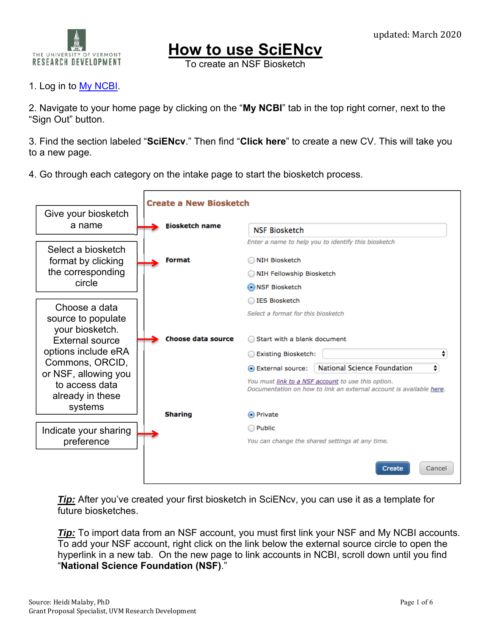

**How to use SciENcv** 

To create an NSF Biosketch

## 1. Log in to My NCBI.

2. Navigate to your home page by clicking on the "**My NCBI**" tab in the top right corner, next to the "Sign Out" button.

3. Find the section labeled "**SciENcv**." Then find "**Click here**" to create a new CV. This will take you to a new page.

4. Go through each category on the intake page to start the biosketch process.



*Tip:* After you've created your first biosketch in SciENcv, you can use it as a template for future biosketches.

*Tip:* To import data from an NSF account, you must first link your NSF and My NCBI accounts. To add your NSF account, right click on the link below the external source circle to open the hyperlink in a new tab. On the new page to link accounts in NCBI, scroll down until you find "**National Science Foundation (NSF)**."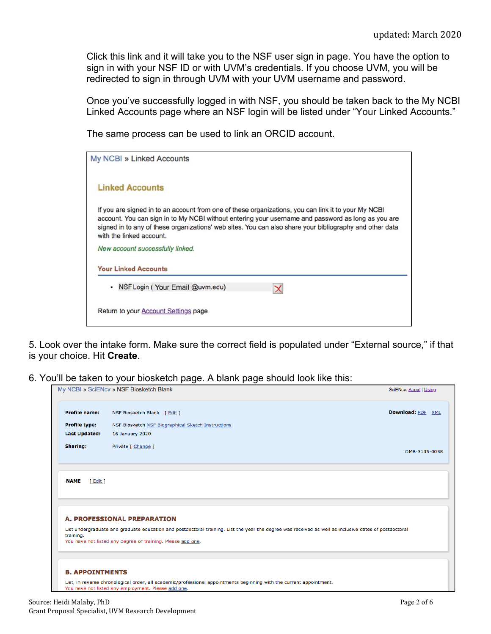Click this link and it will take you to the NSF user sign in page. You have the option to sign in with your NSF ID or with UVM's credentials. If you choose UVM, you will be redirected to sign in through UVM with your UVM username and password.

Once you've successfully logged in with NSF, you should be taken back to the My NCBI Linked Accounts page where an NSF login will be listed under "Your Linked Accounts."

The same process can be used to link an ORCID account.

| My NCBI » Linked Accounts                                                                                                                                                                                                                                                                                                                        |
|--------------------------------------------------------------------------------------------------------------------------------------------------------------------------------------------------------------------------------------------------------------------------------------------------------------------------------------------------|
| <b>Linked Accounts</b>                                                                                                                                                                                                                                                                                                                           |
| If you are signed in to an account from one of these organizations, you can link it to your My NCBI<br>account. You can sign in to My NCBI without entering your username and password as long as you are<br>signed in to any of these organizations' web sites. You can also share your bibliography and other data<br>with the linked account. |
| New account successfully linked.                                                                                                                                                                                                                                                                                                                 |
| <b>Your Linked Accounts</b>                                                                                                                                                                                                                                                                                                                      |
| • NSF Login (Your Email @uvm.edu)                                                                                                                                                                                                                                                                                                                |
| Return to your Account Settings page                                                                                                                                                                                                                                                                                                             |

5. Look over the intake form. Make sure the correct field is populated under "External source," if that is your choice. Hit **Create**.

6. You'll be taken to your biosketch page. A blank page should look like this:

|                         | My NCBI » SciENcv » NSF Biosketch Blank                                                                                                                                                                              | SciENcv: About   Using |
|-------------------------|----------------------------------------------------------------------------------------------------------------------------------------------------------------------------------------------------------------------|------------------------|
| <b>Profile name:</b>    | NSF Biosketch Blank [ Edit ]                                                                                                                                                                                         | Download: PDF XML      |
| <b>Profile type:</b>    | NSF Biosketch NSF Biographical Sketch Instructions                                                                                                                                                                   |                        |
| <b>Last Updated:</b>    | 16 January 2020                                                                                                                                                                                                      |                        |
| Sharing:                | Private [ Change ]                                                                                                                                                                                                   | OMB-3145-0058          |
| <b>NAME</b><br>[ Edit ] |                                                                                                                                                                                                                      |                        |
|                         | <b>A. PROFESSIONAL PREPARATION</b>                                                                                                                                                                                   |                        |
| training.               | List undergraduate and graduate education and postdoctoral training. List the year the degree was received as well as inclusive dates of postdoctoral<br>You have not listed any degree or training. Please add one. |                        |
| <b>B. APPOINTMENTS</b>  |                                                                                                                                                                                                                      |                        |
|                         | List, in reverse chronological order, all academic/professional appointments beginning with the current appointment.<br>You have not listed any employment. Please add one.                                          |                        |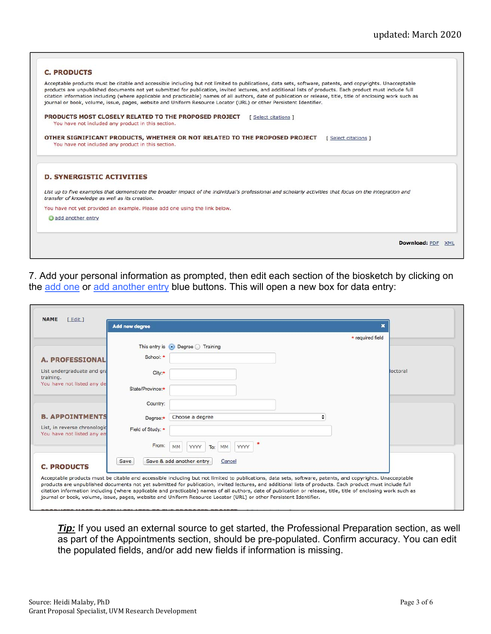| Acceptable products must be citable and accessible including but not limited to publications, data sets, software, patents, and copyrights. Unacceptable<br>products are unpublished documents not yet submitted for publication, invited lectures, and additional lists of products. Each product must include full<br>journal or book, volume, issue, pages, website and Uniform Resource Locator (URL) or other Persistent Identifier. | citation information including (where applicable and practicable) names of all authors, date of publication or release, title, title of enclosing work such as |
|-------------------------------------------------------------------------------------------------------------------------------------------------------------------------------------------------------------------------------------------------------------------------------------------------------------------------------------------------------------------------------------------------------------------------------------------|----------------------------------------------------------------------------------------------------------------------------------------------------------------|
| PRODUCTS MOST CLOSELY RELATED TO THE PROPOSED PROJECT<br>You have not included any product in this section.                                                                                                                                                                                                                                                                                                                               | [ Select citations ]                                                                                                                                           |
| OTHER SIGNIFICANT PRODUCTS, WHETHER OR NOT RELATED TO THE PROPOSED PROJECT<br>You have not included any product in this section.                                                                                                                                                                                                                                                                                                          | [ Select citations ]                                                                                                                                           |
| <b>D. SYNERGISTIC ACTIVITIES</b>                                                                                                                                                                                                                                                                                                                                                                                                          |                                                                                                                                                                |
| List up to five examples that demonstrate the broader impact of the individual's professional and scholarly activities that focus on the integration and<br>transfer of knowledge as well as its creation.                                                                                                                                                                                                                                |                                                                                                                                                                |
| You have not yet provided an example. Please add one using the link below.                                                                                                                                                                                                                                                                                                                                                                |                                                                                                                                                                |
| add another entry                                                                                                                                                                                                                                                                                                                                                                                                                         |                                                                                                                                                                |

7. Add your personal information as prompted, then edit each section of the biosketch by clicking on the add one or add another entry blue buttons. This will open a new box for data entry:

|                   |                                 | * required field         |                                                                                                                                                          |
|-------------------|---------------------------------|--------------------------|----------------------------------------------------------------------------------------------------------------------------------------------------------|
|                   | This entry is • Degree Training |                          |                                                                                                                                                          |
| School: *         |                                 |                          |                                                                                                                                                          |
| City:*            |                                 |                          | loctoral                                                                                                                                                 |
| State/Province:*  |                                 |                          |                                                                                                                                                          |
| Country:          |                                 |                          |                                                                                                                                                          |
| Degree:*          | ÷<br>Choose a degree            |                          |                                                                                                                                                          |
| Field of Study: * |                                 |                          |                                                                                                                                                          |
| From:             | MM<br>YYYY<br>YYYY<br>To:<br>MM |                          |                                                                                                                                                          |
| Save              | Cancel                          |                          |                                                                                                                                                          |
|                   |                                 |                          |                                                                                                                                                          |
|                   |                                 | Save & add another entry | Acceptable products must be citable and accessible including but not limited to publications, data sets, software, patents, and copyrights. Unacceptable |

**Tip:** If you used an external source to get started, the Professional Preparation section, as well as part of the Appointments section, should be pre-populated. Confirm accuracy. You can edit the populated fields, and/or add new fields if information is missing.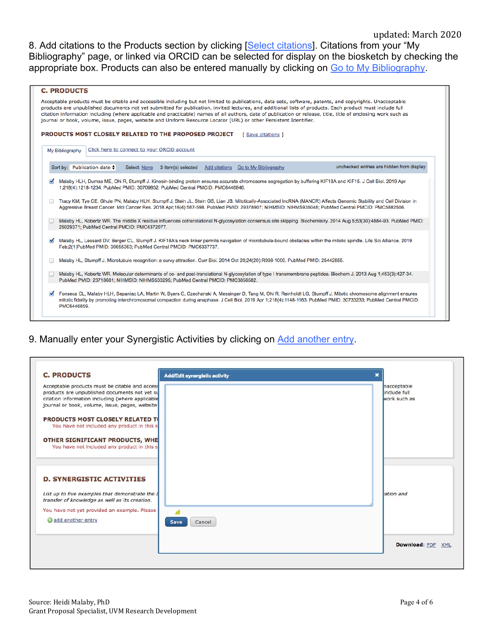8. Add citations to the Products section by clicking [Select citations]. Citations from your "My Bibliography" page, or linked via ORCID can be selected for display on the biosketch by checking the appropriate box. Products can also be entered manually by clicking on Go to My Bibliography.

|                      | <b>C. PRODUCTS</b>                                                                                                                                                                                                                                                                                                                                                                                                                                                                                                                                                                                                                                                                                                                                                                               |
|----------------------|--------------------------------------------------------------------------------------------------------------------------------------------------------------------------------------------------------------------------------------------------------------------------------------------------------------------------------------------------------------------------------------------------------------------------------------------------------------------------------------------------------------------------------------------------------------------------------------------------------------------------------------------------------------------------------------------------------------------------------------------------------------------------------------------------|
|                      | Acceptable products must be citable and accessible including but not limited to publications, data sets, software, patents, and copyrights. Unacceptable<br>products are unpublished documents not yet submitted for publication, invited lectures, and additional lists of products. Each product must include full<br>citation information including (where applicable and practicable) names of all authors, date of publication or release, title, title of enclosing work such as<br>journal or book, volume, issue, pages, website and Uniform Resource Locator (URL) or other Persistent Identifier.<br>PRODUCTS MOST CLOSELY RELATED TO THE PROPOSED PROJECT<br>[ Save citations ]                                                                                                       |
|                      | Click here to connect to your ORCID account<br>My Bibliography                                                                                                                                                                                                                                                                                                                                                                                                                                                                                                                                                                                                                                                                                                                                   |
|                      | unchecked entries are hidden from display<br>Sort by: Publication date $\div$<br>Add citations Go to My Bibliography<br>Select: None<br>3 item(s) selected                                                                                                                                                                                                                                                                                                                                                                                                                                                                                                                                                                                                                                       |
|                      | Malaby HLH, Dumas ME, Ohi R, Stumpff J. Kinesin-binding protein ensures accurate chromosome segregation by buffering KIF18A and KIF15. J Cell Biol. 2019 Apr<br>1;218(4):1218-1234. PubMed PMID: 30709852; PubMed Central PMCID: PMC6446846.<br>Tracy KM, Tye CE, Ghule PN, Malaby HLH, Stumpff J, Stein JL, Stein GS, Lian JB. Mitotically-Associated IncRNA (MANCR) Affects Genomic Stability and Cell Division in<br>Aggressive Breast Cancer. Mol Cancer Res. 2018 Apr;16(4):587-598. PubMed PMID: 29378907; NIHMSID: NIHMS935048; PubMed Central PMCID: PMC5882506.<br>Malaby HL, Kobertz WR. The middle X residue influences cotranslational N-glycosylation consensus site skipping. Biochemistry. 2014 Aug 5;53(30):4884-93. PubMed PMID:<br>25029371; PubMed Central PMCID: PMC4372077. |
| $\blacktriangledown$ | Malaby HL, Lessard DV, Berger CL, Stumpff J. KIF18A's neck linker permits navigation of microtubule-bound obstacles within the mitotic spindle. Life Sci Alliance. 2019<br>Feb:2(1)PubMed PMID: 30655363; PubMed Central PMCID: PMC6337737.                                                                                                                                                                                                                                                                                                                                                                                                                                                                                                                                                      |
|                      | Malaby HL, Stumpff J. Microtubule recognition: a curvy attraction. Curr Biol. 2014 Oct 20;24(20):R998-1000. PubMed PMID: 25442855.                                                                                                                                                                                                                                                                                                                                                                                                                                                                                                                                                                                                                                                               |
|                      | Malaby HL, Kobertz WR. Molecular determinants of co- and post-translational N-glycosylation of type I transmembrane peptides. Biochem J. 2013 Aug 1:453(3):427-34.<br>PubMed PMID: 23718681; NIHMSID: NIHMS533295; PubMed Central PMCID: PMC3856582.                                                                                                                                                                                                                                                                                                                                                                                                                                                                                                                                             |
| ◛                    | Fonseca CL, Malaby HLH, Sepaniac LA, Martin W, Byers C, Czechanski A, Messinger D, Tang M, Ohi R, Reinholdt LG, Stumpff J. Mitotic chromosome alignment ensures<br>mitotic fidelity by promoting interchromosomal compaction during anaphase. J Cell Biol. 2019 Apr 1;218(4):1148-1163. PubMed PMID: 30733233; PubMed Central PMCID:<br>PMC6446859.                                                                                                                                                                                                                                                                                                                                                                                                                                              |

9. Manually enter your Synergistic Activities by clicking on Add another entry.

| <b>C. PRODUCTS</b>                                                                                 | <b>Add/Edit synergistic activity</b><br>× |                   |
|----------------------------------------------------------------------------------------------------|-------------------------------------------|-------------------|
| Acceptable products must be citable and access                                                     |                                           | nacceptable       |
| products are unpublished documents not yet su                                                      |                                           | include full      |
| citation information including (where applicable<br>journal or book, volume, issue, pages, website |                                           | work such as      |
|                                                                                                    |                                           |                   |
| <b>PRODUCTS MOST CLOSELY RELATED TO</b>                                                            |                                           |                   |
| You have not included any product in this s                                                        |                                           |                   |
| OTHER SIGNIFICANT PRODUCTS, WHE                                                                    |                                           |                   |
| You have not included any product in this s                                                        |                                           |                   |
| <b>D. SYNERGISTIC ACTIVITIES</b>                                                                   |                                           |                   |
|                                                                                                    |                                           |                   |
| List up to five examples that demonstrate the L                                                    |                                           | ation and         |
| transfer of knowledge as well as its creation.                                                     |                                           |                   |
| You have not yet provided an example. Please                                                       |                                           |                   |
| add another entry                                                                                  |                                           |                   |
|                                                                                                    | Cancel<br>Save                            |                   |
|                                                                                                    |                                           |                   |
|                                                                                                    |                                           | Download: PDF XML |
|                                                                                                    |                                           |                   |

B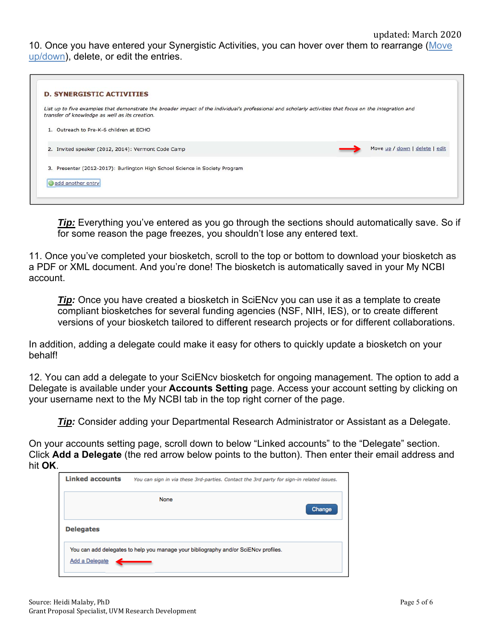10. Once you have entered your Synergistic Activities, you can hover over them to rearrange (Move up/down), delete, or edit the entries.

| <b>D. SYNERGISTIC ACTIVITIES</b>                                                                                                                                                                           |  |                                |
|------------------------------------------------------------------------------------------------------------------------------------------------------------------------------------------------------------|--|--------------------------------|
| List up to five examples that demonstrate the broader impact of the individual's professional and scholarly activities that focus on the integration and<br>transfer of knowledge as well as its creation. |  |                                |
| 1. Outreach to Pre-K-6 children at ECHO                                                                                                                                                                    |  |                                |
| 2. Invited speaker (2012, 2014): Vermont Code Camp                                                                                                                                                         |  | Move up / down   delete   edit |
| 3. Presenter (2012-2017): Burlington High School Science in Society Program                                                                                                                                |  |                                |
| add another entry                                                                                                                                                                                          |  |                                |

*Tip:* Everything you've entered as you go through the sections should automatically save. So if for some reason the page freezes, you shouldn't lose any entered text.

11. Once you've completed your biosketch, scroll to the top or bottom to download your biosketch as a PDF or XML document. And you're done! The biosketch is automatically saved in your My NCBI account.

*Tip:* Once you have created a biosketch in SciENcv you can use it as a template to create compliant biosketches for several funding agencies (NSF, NIH, IES), or to create different versions of your biosketch tailored to different research projects or for different collaborations.

In addition, adding a delegate could make it easy for others to quickly update a biosketch on your behalf!

12. You can add a delegate to your SciENcv biosketch for ongoing management. The option to add a Delegate is available under your **Accounts Setting** page. Access your account setting by clicking on your username next to the My NCBI tab in the top right corner of the page.

*Tip:* Consider adding your Departmental Research Administrator or Assistant as a Delegate.

On your accounts setting page, scroll down to below "Linked accounts" to the "Delegate" section. Click **Add a Delegate** (the red arrow below points to the button). Then enter their email address and hit **OK**.

| <b>Linked accounts</b> | You can sign in via these 3rd-parties. Contact the 3rd party for sign-in related issues. |
|------------------------|------------------------------------------------------------------------------------------|
|                        | <b>None</b><br>Change                                                                    |
| <b>Delegates</b>       |                                                                                          |
| Add a Delegate         | You can add delegates to help you manage your bibliography and/or SciENcv profiles.      |